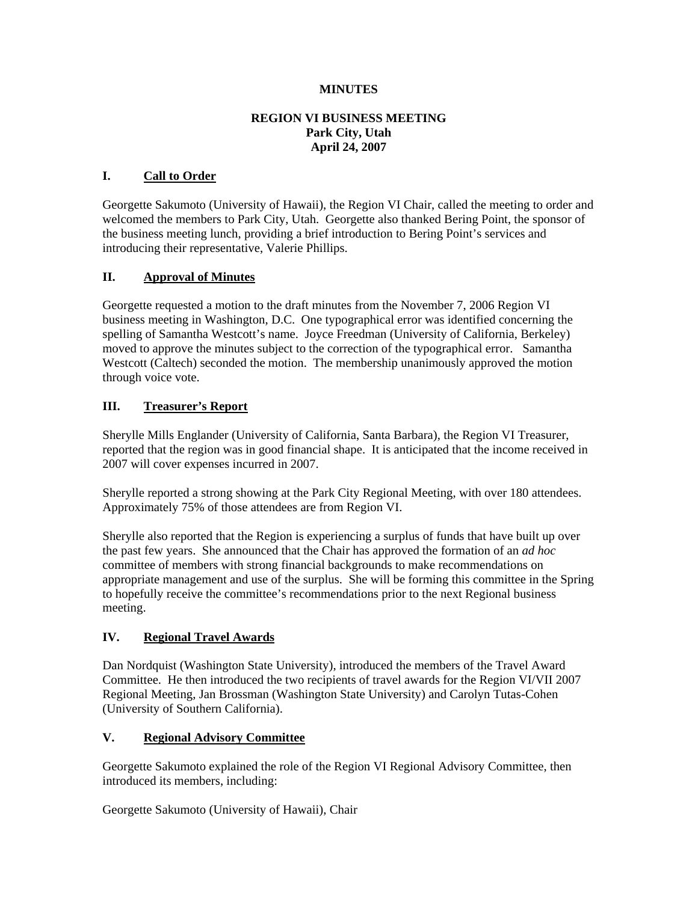#### **MINUTES**

#### **REGION VI BUSINESS MEETING Park City, Utah April 24, 2007**

#### **I. Call to Order**

Georgette Sakumoto (University of Hawaii), the Region VI Chair, called the meeting to order and welcomed the members to Park City, Utah. Georgette also thanked Bering Point, the sponsor of the business meeting lunch, providing a brief introduction to Bering Point's services and introducing their representative, Valerie Phillips.

#### **II. Approval of Minutes**

Georgette requested a motion to the draft minutes from the November 7, 2006 Region VI business meeting in Washington, D.C. One typographical error was identified concerning the spelling of Samantha Westcott's name. Joyce Freedman (University of California, Berkeley) moved to approve the minutes subject to the correction of the typographical error. Samantha Westcott (Caltech) seconded the motion. The membership unanimously approved the motion through voice vote.

#### **III. Treasurer's Report**

Sherylle Mills Englander (University of California, Santa Barbara), the Region VI Treasurer, reported that the region was in good financial shape. It is anticipated that the income received in 2007 will cover expenses incurred in 2007.

Sherylle reported a strong showing at the Park City Regional Meeting, with over 180 attendees. Approximately 75% of those attendees are from Region VI.

Sherylle also reported that the Region is experiencing a surplus of funds that have built up over the past few years. She announced that the Chair has approved the formation of an *ad hoc* committee of members with strong financial backgrounds to make recommendations on appropriate management and use of the surplus. She will be forming this committee in the Spring to hopefully receive the committee's recommendations prior to the next Regional business meeting.

#### **IV. Regional Travel Awards**

Dan Nordquist (Washington State University), introduced the members of the Travel Award Committee. He then introduced the two recipients of travel awards for the Region VI/VII 2007 Regional Meeting, Jan Brossman (Washington State University) and Carolyn Tutas-Cohen (University of Southern California).

#### **V. Regional Advisory Committee**

Georgette Sakumoto explained the role of the Region VI Regional Advisory Committee, then introduced its members, including:

Georgette Sakumoto (University of Hawaii), Chair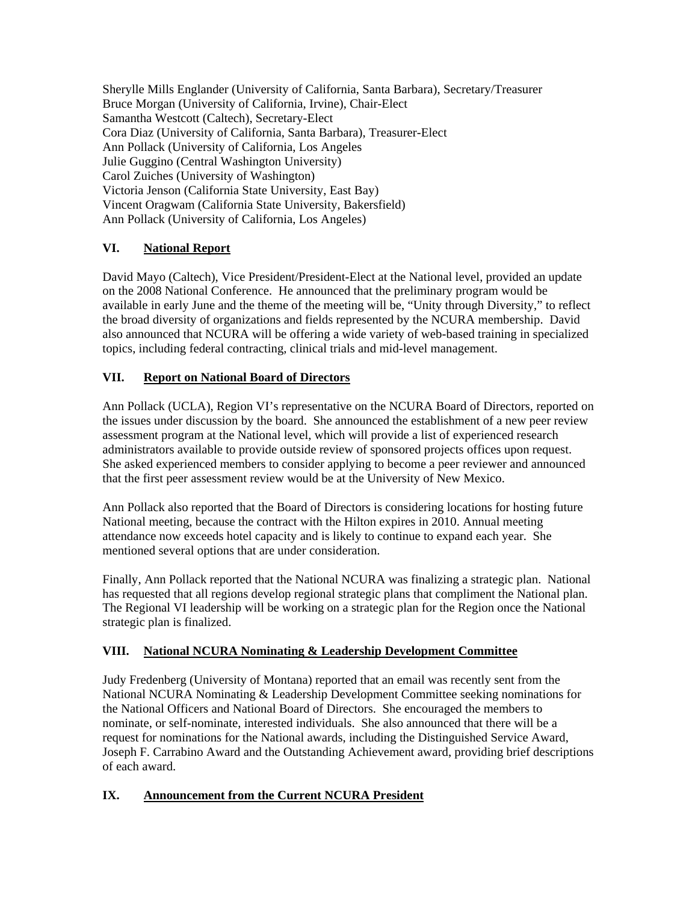Sherylle Mills Englander (University of California, Santa Barbara), Secretary/Treasurer Bruce Morgan (University of California, Irvine), Chair-Elect Samantha Westcott (Caltech), Secretary-Elect Cora Diaz (University of California, Santa Barbara), Treasurer-Elect Ann Pollack (University of California, Los Angeles Julie Guggino (Central Washington University) Carol Zuiches (University of Washington) Victoria Jenson (California State University, East Bay) Vincent Oragwam (California State University, Bakersfield) Ann Pollack (University of California, Los Angeles)

# **VI. National Report**

David Mayo (Caltech), Vice President/President-Elect at the National level, provided an update on the 2008 National Conference. He announced that the preliminary program would be available in early June and the theme of the meeting will be, "Unity through Diversity," to reflect the broad diversity of organizations and fields represented by the NCURA membership. David also announced that NCURA will be offering a wide variety of web-based training in specialized topics, including federal contracting, clinical trials and mid-level management.

### **VII. Report on National Board of Directors**

Ann Pollack (UCLA), Region VI's representative on the NCURA Board of Directors, reported on the issues under discussion by the board. She announced the establishment of a new peer review assessment program at the National level, which will provide a list of experienced research administrators available to provide outside review of sponsored projects offices upon request. She asked experienced members to consider applying to become a peer reviewer and announced that the first peer assessment review would be at the University of New Mexico.

Ann Pollack also reported that the Board of Directors is considering locations for hosting future National meeting, because the contract with the Hilton expires in 2010. Annual meeting attendance now exceeds hotel capacity and is likely to continue to expand each year. She mentioned several options that are under consideration.

Finally, Ann Pollack reported that the National NCURA was finalizing a strategic plan. National has requested that all regions develop regional strategic plans that compliment the National plan. The Regional VI leadership will be working on a strategic plan for the Region once the National strategic plan is finalized.

## **VIII. National NCURA Nominating & Leadership Development Committee**

Judy Fredenberg (University of Montana) reported that an email was recently sent from the National NCURA Nominating & Leadership Development Committee seeking nominations for the National Officers and National Board of Directors. She encouraged the members to nominate, or self-nominate, interested individuals. She also announced that there will be a request for nominations for the National awards, including the Distinguished Service Award, Joseph F. Carrabino Award and the Outstanding Achievement award, providing brief descriptions of each award.

### **IX. Announcement from the Current NCURA President**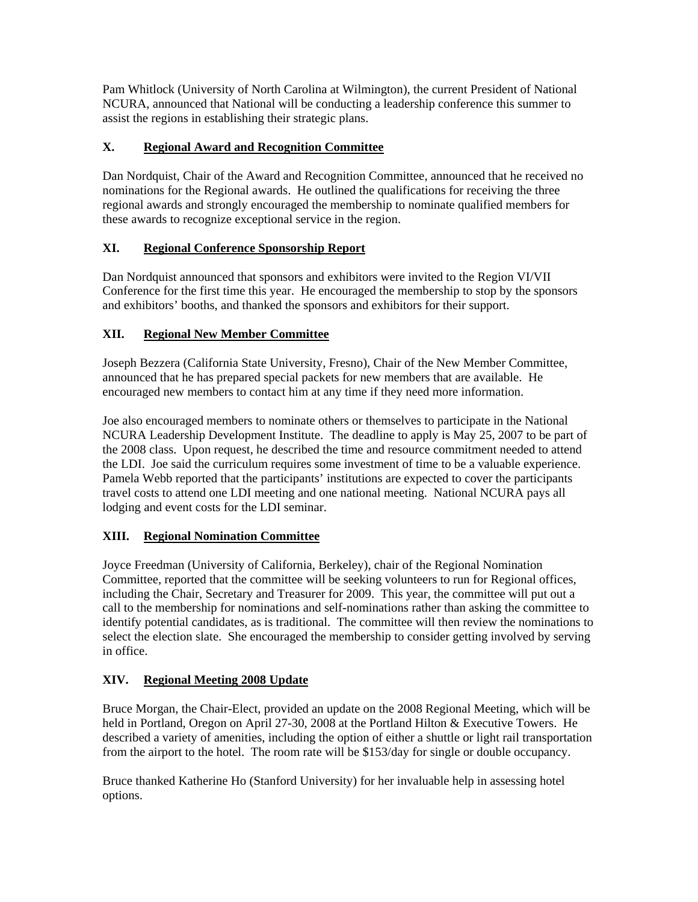Pam Whitlock (University of North Carolina at Wilmington), the current President of National NCURA, announced that National will be conducting a leadership conference this summer to assist the regions in establishing their strategic plans.

## **X. Regional Award and Recognition Committee**

Dan Nordquist, Chair of the Award and Recognition Committee, announced that he received no nominations for the Regional awards. He outlined the qualifications for receiving the three regional awards and strongly encouraged the membership to nominate qualified members for these awards to recognize exceptional service in the region.

# **XI. Regional Conference Sponsorship Report**

Dan Nordquist announced that sponsors and exhibitors were invited to the Region VI/VII Conference for the first time this year. He encouraged the membership to stop by the sponsors and exhibitors' booths, and thanked the sponsors and exhibitors for their support.

# **XII. Regional New Member Committee**

Joseph Bezzera (California State University, Fresno), Chair of the New Member Committee, announced that he has prepared special packets for new members that are available. He encouraged new members to contact him at any time if they need more information.

Joe also encouraged members to nominate others or themselves to participate in the National NCURA Leadership Development Institute. The deadline to apply is May 25, 2007 to be part of the 2008 class. Upon request, he described the time and resource commitment needed to attend the LDI. Joe said the curriculum requires some investment of time to be a valuable experience. Pamela Webb reported that the participants' institutions are expected to cover the participants travel costs to attend one LDI meeting and one national meeting. National NCURA pays all lodging and event costs for the LDI seminar.

## **XIII. Regional Nomination Committee**

Joyce Freedman (University of California, Berkeley), chair of the Regional Nomination Committee, reported that the committee will be seeking volunteers to run for Regional offices, including the Chair, Secretary and Treasurer for 2009. This year, the committee will put out a call to the membership for nominations and self-nominations rather than asking the committee to identify potential candidates, as is traditional. The committee will then review the nominations to select the election slate. She encouraged the membership to consider getting involved by serving in office.

## **XIV. Regional Meeting 2008 Update**

Bruce Morgan, the Chair-Elect, provided an update on the 2008 Regional Meeting, which will be held in Portland, Oregon on April 27-30, 2008 at the Portland Hilton & Executive Towers. He described a variety of amenities, including the option of either a shuttle or light rail transportation from the airport to the hotel. The room rate will be \$153/day for single or double occupancy.

Bruce thanked Katherine Ho (Stanford University) for her invaluable help in assessing hotel options.